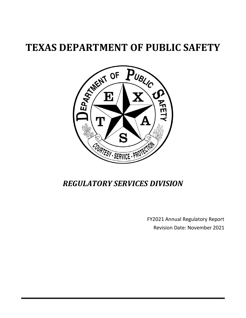# **TEXAS DEPARTMENT OF PUBLIC SAFETY**



## *REGULATORY SERVICES DIVISION*

FY2021 Annual Regulatory Report Revision Date: November 2021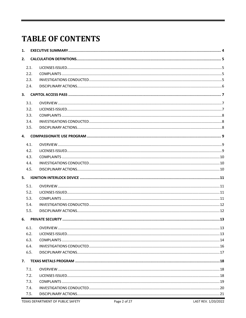# **TABLE OF CONTENTS**

| 1.   |  |  |
|------|--|--|
| 2.   |  |  |
| 2.1. |  |  |
| 2.2. |  |  |
| 2.3. |  |  |
| 2.4. |  |  |
| 3.   |  |  |
| 3.1. |  |  |
| 3.2. |  |  |
| 3.3. |  |  |
| 3.4. |  |  |
| 3.5. |  |  |
| 4.   |  |  |
| 4.1. |  |  |
| 4.2. |  |  |
| 4.3. |  |  |
| 4.4. |  |  |
| 4.5. |  |  |
| 5.   |  |  |
| 5.1. |  |  |
| 5.2. |  |  |
| 5.3. |  |  |
| 5.4. |  |  |
| 5.5. |  |  |
| 6.   |  |  |
| 6.1. |  |  |
| 6.2. |  |  |
| 6.3. |  |  |
| 6.4. |  |  |
| 6.5. |  |  |
| 7.   |  |  |
| 7.1. |  |  |
| 7.2. |  |  |
| 7.3. |  |  |
| 7.4. |  |  |
| 7.5. |  |  |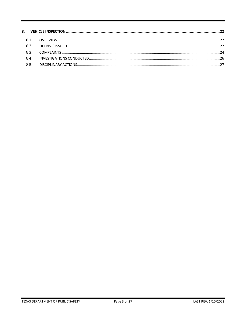| 81             |  |
|----------------|--|
| R <sub>2</sub> |  |
| 83             |  |
| 84             |  |
| 8.5.           |  |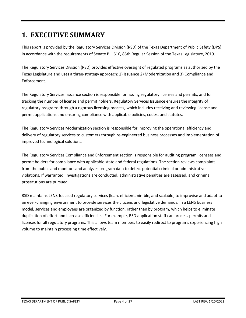## <span id="page-3-0"></span>**1. EXECUTIVE SUMMARY**

This report is provided by the Regulatory Services Division (RSD) of the Texas Department of Public Safety (DPS) in accordance with the requirements of Senate Bill 616, 86th Regular Session of the Texas Legislature, 2019.

The Regulatory Services Division (RSD) provides effective oversight of regulated programs as authorized by the Texas Legislature and uses a three-strategy approach: 1) Issuance 2) Modernization and 3) Compliance and Enforcement.

The Regulatory Services Issuance section is responsible for issuing regulatory licenses and permits, and for tracking the number of license and permit holders. Regulatory Services Issuance ensures the integrity of regulatory programs through a rigorous licensing process, which includes receiving and reviewing license and permit applications and ensuring compliance with applicable policies, codes, and statutes.

The Regulatory Services Modernization section is responsible for improving the operational efficiency and delivery of regulatory services to customers through re-engineered business processes and implementation of improved technological solutions.

The Regulatory Services Compliance and Enforcement section is responsible for auditing program licensees and permit holders for compliance with applicable state and federal regulations. The section reviews complaints from the public and monitors and analyzes program data to detect potential criminal or administrative violations. If warranted, investigations are conducted, administrative penalties are assessed, and criminal prosecutions are pursued.

RSD maintains LENS-focused regulatory services (lean, efficient, nimble, and scalable) to improvise and adapt to an ever-changing environment to provide services the citizens and legislative demands. In a LENS business model, services and employees are organized by function, rather than by program, which helps to eliminate duplication of effort and increase efficiencies. For example, RSD application staff can process permits and licenses for all regulatory programs. This allows team members to easily redirect to programs experiencing high volume to maintain processing time effectively.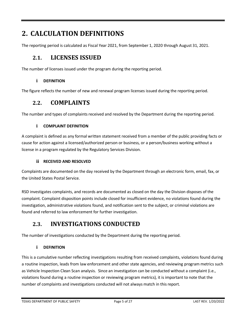## <span id="page-4-0"></span>**2. CALCULATION DEFINITIONS**

<span id="page-4-1"></span>The reporting period is calculated as Fiscal Year 2021, from September 1, 2020 through August 31, 2021.

#### **2.1. LICENSES ISSUED**

The number of licenses issued under the program during the reporting period.

#### **i DEFINITION**

<span id="page-4-2"></span>The figure reflects the number of new and renewal program licenses issued during the reporting period.

#### **2.2. COMPLAINTS**

The number and types of complaints received and resolved by the Department during the reporting period.

#### **i COMPLAINT DEFINITION**

A complaint is defined as any formal written statement received from a member of the public providing facts or cause for action against a licensed/authorized person or business, or a person/business working without a license in a program regulated by the Regulatory Services Division.

#### **ii RECEIVED AND RESOLVED**

Complaints are documented on the day received by the Department through an electronic form, email, fax, or the United States Postal Service.

RSD investigates complaints, and records are documented as closed on the day the Division disposes of the complaint. Complaint disposition points include closed for insufficient evidence, no violations found during the investigation, administrative violations found, and notification sent to the subject, or criminal violations are found and referred to law enforcement for further investigation.

#### <span id="page-4-3"></span>**2.3. INVESTIGATIONS CONDUCTED**

The number of investigations conducted by the Department during the reporting period.

#### **i DEFINITION**

This is a cumulative number reflecting investigations resulting from received complaints, violations found during a routine inspection, leads from law enforcement and other state agencies, and reviewing program metrics such as Vehicle Inspection Clean Scan analysis. Since an investigation can be conducted without a complaint (i.e., violations found during a routine inspection or reviewing program metrics), it is important to note that the number of complaints and investigations conducted will not always match in this report.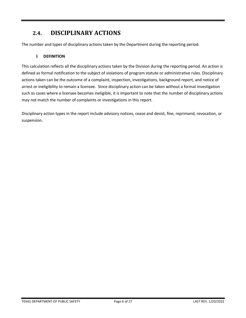### <span id="page-5-0"></span>**2.4. DISCIPLINARY ACTIONS**

The number and types of disciplinary actions taken by the Department during the reporting period.

#### **i DEFINITION**

This calculation reflects all the disciplinary actions taken by the Division during the reporting period. An action is defined as formal notification to the subject of violations of program statute or administrative rules. Disciplinary actions taken can be the outcome of a complaint, inspection, investigations, background report, and notice of arrest or ineligibility to remain a licensee. Since disciplinary action can be taken without a formal investigation such as cases where a licensee becomes ineligible, it is important to note that the number of disciplinary actions may not match the number of complaints or investigations in this report.

Disciplinary action types in the report include advisory notices, cease and desist, fine, reprimand, revocation, or suspension.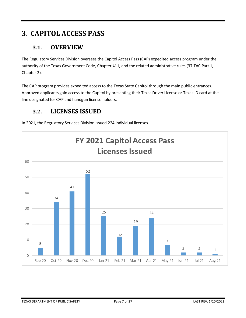## <span id="page-6-0"></span>**3. CAPITOL ACCESS PASS**

#### <span id="page-6-1"></span>**3.1. OVERVIEW**

The Regulatory Services Division oversees the Capitol Access Pass (CAP) expedited access program under the authority of the Texas Government Code[, Chapter 411,](https://statutes.capitol.texas.gov/Docs/GV/htm/GV.411.htm) and the related administrative rules (37 TAC Part 1, [Chapter 2\)](https://texreg.sos.state.tx.us/public/readtac$ext.ViewTAC?tac_view=4&ti=37&pt=1&ch=2&rl=Y).

The CAP program provides expedited access to the Texas State Capitol through the main public entrances. Approved applicants gain access to the Capitol by presenting their Texas Driver License or Texas ID card at the line designated for CAP and handgun license holders.

#### <span id="page-6-2"></span>**3.2. LICENSES ISSUED**



In 2021, the Regulatory Services Division issued 224 individual licenses.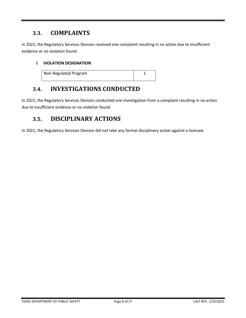<span id="page-7-0"></span>In 2021, the Regulatory Services Division received one complaint resulting in no action due to insufficient evidence or no violation found.

#### **i VIOLATION DESIGNATION**

| Non-Regulated Program |  |
|-----------------------|--|
|                       |  |

#### <span id="page-7-1"></span>**3.4. INVESTIGATIONS CONDUCTED**

In 2021, the Regulatory Services Division conducted one investigation from a complaint resulting in no action due to insufficient evidence or no violation found.

#### <span id="page-7-2"></span>**3.5. DISCIPLINARY ACTIONS**

In 2021, the Regulatory Services Division did not take any formal disciplinary action against a licensee.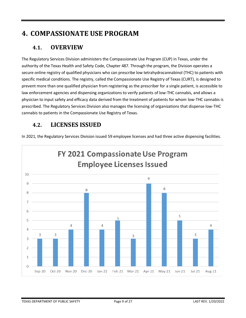## <span id="page-8-0"></span>**4. COMPASSIONATE USE PROGRAM**

#### <span id="page-8-1"></span>**4.1. OVERVIEW**

The Regulatory Services Division administers the Compassionate Use Program (CUP) in Texas, under the authority of the Texas Health and Safety Code, Chapter 487. Through the program, the Division operates a secure online registry of qualified physicians who can prescribe low tetrahydrocannabinol (THC) to patients with specific medical conditions. The registry, called the Compassionate Use Registry of Texas (CURT), is designed to prevent more than one qualified physician from registering as the prescriber for a single patient, is accessible to law enforcement agencies and dispensing organizations to verify patients of low-THC cannabis, and allows a physician to input safety and efficacy data derived from the treatment of patients for whom low-THC cannabis is prescribed. The Regulatory Services Division also manages the licensing of organizations that dispense low-THC cannabis to patients in the Compassionate Use Registry of Texas.

### <span id="page-8-2"></span>**4.2. LICENSES ISSUED**

In 2021, the Regulatory Services Division issued 59 employee licenses and had three active dispensing facilities.

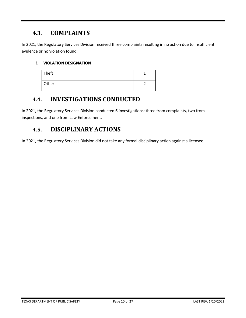<span id="page-9-0"></span>In 2021, the Regulatory Services Division received three complaints resulting in no action due to insufficient evidence or no violation found.

#### **i VIOLATION DESIGNATION**

| Theft |  |
|-------|--|
| Other |  |

#### <span id="page-9-1"></span>**4.4. INVESTIGATIONS CONDUCTED**

In 2021, the Regulatory Services Division conducted 6 investigations: three from complaints, two from inspections, and one from Law Enforcement.

#### <span id="page-9-2"></span>**4.5. DISCIPLINARY ACTIONS**

In 2021, the Regulatory Services Division did not take any formal disciplinary action against a licensee.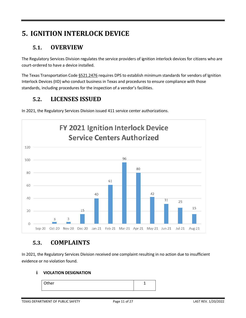## <span id="page-10-0"></span>**5. IGNITION INTERLOCK DEVICE**

#### <span id="page-10-1"></span>**5.1. OVERVIEW**

The Regulatory Services Division regulates the service providers of ignition interlock devices for citizens who are court-ordered to have a device installed.

The Texas Transportation Cod[e §521.2476](https://statutes.capitol.texas.gov/Docs/TN/htm/TN.521.htm#521.2476) requires DPS to establish minimum standards for vendors of Ignition Interlock Devices (IID) who conduct business in Texas and procedures to ensure compliance with those standards, including procedures for the inspection of a vendor's facilities.

### <span id="page-10-2"></span>**5.2. LICENSES ISSUED**



In 2021, the Regulatory Services Division issued 411 service center authorizations.

#### <span id="page-10-3"></span>**5.3. COMPLAINTS**

In 2021, the Regulatory Services Division received one complaint resulting in no action due to insufficient evidence or no violation found.

#### **i VIOLATION DESIGNATION**

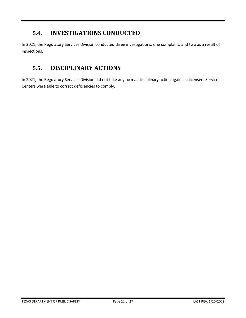### <span id="page-11-0"></span>**5.4. INVESTIGATIONS CONDUCTED**

In 2021, the Regulatory Services Division conducted three investigations: one complaint, and two as a result of inspections.

### <span id="page-11-1"></span>**5.5. DISCIPLINARY ACTIONS**

In 2021, the Regulatory Services Division did not take any formal disciplinary action against a licensee. Service Centers were able to correct deficiencies to comply.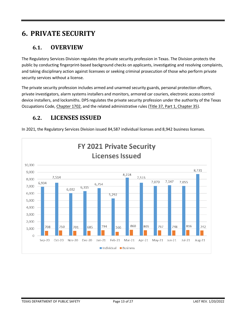## <span id="page-12-0"></span>**6. PRIVATE SECURITY**

#### <span id="page-12-1"></span>**6.1. OVERVIEW**

The Regulatory Services Division regulates the private security profession in Texas. The Division protects the public by conducting fingerprint-based background checks on applicants, investigating and resolving complaints, and taking disciplinary action against licensees or seeking criminal prosecution of those who perform private security services without a license.

The private security profession includes armed and unarmed security guards, personal protection officers, private investigators, alarm systems installers and monitors, armored car couriers, electronic access control device installers, and locksmiths. DPS regulates the private security profession under the authority of the Texas Occupations Code, [Chapter 1702,](https://statutes.capitol.texas.gov/Docs/OC/htm/OC.1702.htm) and the related administrative rules [\(Title 37, Part 1, Chapter 35\)](https://texreg.sos.state.tx.us/public/readtac$ext.ViewTAC?tac_view=4&ti=37&pt=1&ch=35).

### <span id="page-12-2"></span>**6.2. LICENSES ISSUED**

**FY 2021 Private Security Licenses Issued** 10,000 8,731 9,000 8,228 7,514 7,515 8,000 7,147 7,070 7,055 6,934 6,754 7,000 6,315 6,032 6,000 5,292 5,000 4,000 3,000 2,000 860 816 805 794 767 748 708 750 701 685 566 742 1,000  $\overline{0}$ Sep-20 Oct-20 Nov-20 Feb-21 Mar-21  $Jul-21$ Dec-20 Jan-21 Apr-21 May-21 Jun-21 Aug-21 Individual Business

In 2021, the Regulatory Services Division issued 84,587 individual licenses and 8,942 business licenses.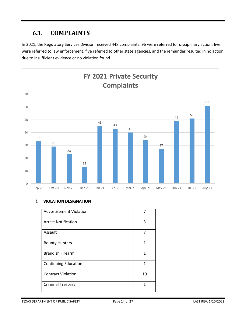<span id="page-13-0"></span>In 2021, the Regulatory Services Division received 448 complaints: 96 were referred for disciplinary action, five were referred to law enforcement, five referred to other state agencies, and the remainder resulted in no action due to insufficient evidence or no violation found.



#### **i VIOLATION DESIGNATION**

| Advertisement Violation     | 7  |
|-----------------------------|----|
| <b>Arrest Notification</b>  | 3  |
| <b>Assault</b>              | 7  |
| <b>Bounty Hunters</b>       | 1  |
| <b>Brandish Firearm</b>     | 1  |
| <b>Continuing Education</b> | 1  |
| <b>Contract Violation</b>   | 19 |
| <b>Criminal Trespass</b>    | 1  |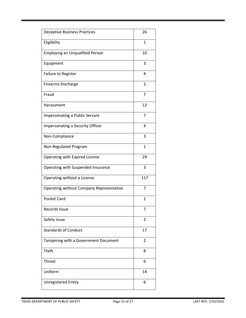| <b>Deceptive Business Practices</b>      | 26             |
|------------------------------------------|----------------|
| Eligibility                              | 1              |
| <b>Employing an Unqualified Person</b>   | 10             |
| Equipment                                | 3              |
| Failure to Register                      | 4              |
| <b>Firearms Discharge</b>                | $\overline{2}$ |
| Fraud                                    | 7              |
| Harassment                               | 12             |
| Impersonating a Public Servant           | 7              |
| Impersonating a Security Officer         | 4              |
| Non-Compliance                           | 3              |
| Non-Regulated Program                    | $\mathbf{1}$   |
| Operating with Expired License           | 29             |
| Operating with Suspended Insurance       | 3              |
| Operating without a License              | 117            |
| Operating without Company Representative | 7              |
| <b>Pocket Card</b>                       | $\mathbf{1}$   |
| Records Issue                            | 7              |
| Safety Issue                             | $\overline{2}$ |
| <b>Standards of Conduct</b>              | 17             |
| Tampering with a Government Document     | 2              |
| Theft                                    | 8              |
| Threat                                   | 6              |
| Uniform                                  | 14             |
| <b>Unregistered Entity</b>               | 6              |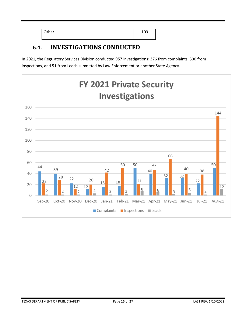| Other | 1 ሰሰ<br>∸∪∽ |
|-------|-------------|
|       |             |

### <span id="page-15-0"></span>**6.4. INVESTIGATIONS CONDUCTED**

In 2021, the Regulatory Services Division conducted 957 investigations: 376 from complaints, 530 from inspections, and 51 from Leads submitted by Law Enforcement or another State Agency.

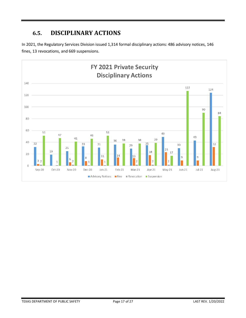### <span id="page-16-0"></span>**6.5. DISCIPLINARY ACTIONS**

In 2021, the Regulatory Services Division issued 1,314 formal disciplinary actions: 486 advisory notices, 146 fines, 13 revocations, and 669 suspensions.

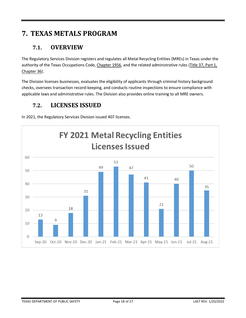## <span id="page-17-0"></span>**7. TEXAS METALS PROGRAM**

#### <span id="page-17-1"></span>**7.1. OVERVIEW**

The Regulatory Services Division registers and regulates all Metal Recycling Entities (MREs) in Texas under the authority of the Texas Occupations Code[, Chapter 1956,](https://statutes.capitol.texas.gov/Docs/OC/htm/OC.1956.htm) and the related administrative rules [\(Title 37, Part 1,](https://texreg.sos.state.tx.us/public/readtac$ext.ViewTAC?tac_view=4&ti=37&pt=1&ch=36)  [Chapter 36\)](https://texreg.sos.state.tx.us/public/readtac$ext.ViewTAC?tac_view=4&ti=37&pt=1&ch=36).

The Division licenses businesses, evaluates the eligibility of applicants through criminal history background checks, oversees transaction record-keeping, and conducts routine inspections to ensure compliance with applicable laws and administrative rules. The Division also provides online training to all MRE owners.

#### <span id="page-17-2"></span>**7.2. LICENSES ISSUED**



In 2021, the Regulatory Services Division issued 407 licenses.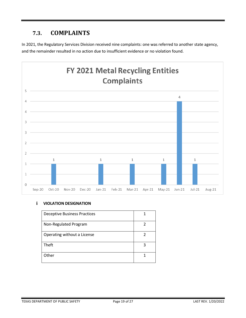<span id="page-18-0"></span>In 2021, the Regulatory Services Division received nine complaints: one was referred to another state agency, and the remainder resulted in no action due to insufficient evidence or no violation found.



#### **i VIOLATION DESIGNATION**

| <b>Deceptive Business Practices</b> |   |
|-------------------------------------|---|
| Non-Regulated Program               | 2 |
| Operating without a License         | 2 |
| Theft                               | 3 |
| Other                               |   |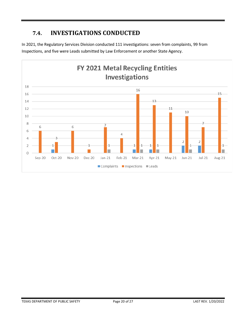### <span id="page-19-0"></span>**7.4. INVESTIGATIONS CONDUCTED**

In 2021, the Regulatory Services Division conducted 111 investigations: seven from complaints, 99 from Inspections, and five were Leads submitted by Law Enforcement or another State Agency.

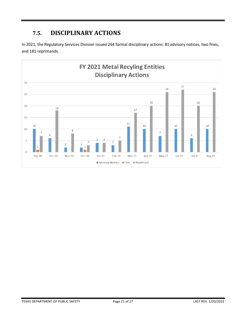### <span id="page-20-0"></span>**7.5. DISCIPLINARY ACTIONS**

In 2021, the Regulatory Services Division issued 264 formal disciplinary actions: 81 advisory notices, two fines, and 181 reprimands.

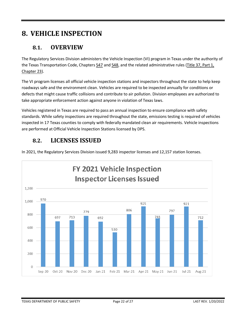## <span id="page-21-0"></span>**8. VEHICLE INSPECTION**

#### <span id="page-21-1"></span>**8.1. OVERVIEW**

The Regulatory Services Division administers the Vehicle Inspection (VI) program in Texas under the authority of the Texas Transportation Code, Chapters [547](https://statutes.capitol.texas.gov/Docs/TN/htm/TN.547.htm) an[d 548,](https://statutes.capitol.texas.gov/Docs/TN/htm/TN.548.htm) and the related administrative rules [\(Title 37, Part 1,](https://texreg.sos.state.tx.us/public/readtac$ext.ViewTAC?tac_view=4&ti=37&pt=1&ch=23)  [Chapter 23\)](https://texreg.sos.state.tx.us/public/readtac$ext.ViewTAC?tac_view=4&ti=37&pt=1&ch=23).

The VI program licenses all official vehicle inspection stations and inspectors throughout the state to help keep roadways safe and the environment clean. Vehicles are required to be inspected annually for conditions or defects that might cause traffic collisions and contribute to air pollution. Division employees are authorized to take appropriate enforcement action against anyone in violation of Texas laws.

Vehicles registered in Texas are required to pass an annual inspection to ensure compliance with safety standards. While safety inspections are required throughout the state, emissions testing is required of vehicles inspected in 17 Texas counties to comply with federally mandated clean air requirements. Vehicle inspections are performed at Official Vehicle Inspection Stations licensed by DPS.

### <span id="page-21-2"></span>**8.2. LICENSES ISSUED**

In 2021, the Regulatory Services Division issued 9,283 inspector licenses and 12,157 station licenses.

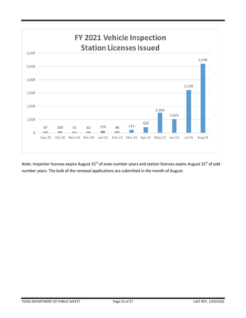

Note: Inspector licenses expire August  $31<sup>st</sup>$  of even number years and station licenses expire August  $31<sup>st</sup>$  of odd number years. The bulk of the renewal applications are submitted in the month of August.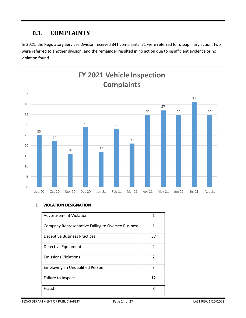<span id="page-23-0"></span>In 2021, the Regulatory Services Division received 341 complaints: 71 were referred for disciplinary action, two were referred to another division, and the remainder resulted in no action due to insufficient evidence or no violation found.



#### **i VIOLATION DESIGNATION**

| Advertisement Violation                                   | 1                        |
|-----------------------------------------------------------|--------------------------|
| <b>Company Representative Failing to Oversee Business</b> | 1                        |
| <b>Deceptive Business Practices</b>                       | 37                       |
| Defective Equipment                                       | $\overline{\phantom{a}}$ |
| <b>Emissions Violations</b>                               | 2                        |
| <b>Employing an Unqualified Person</b>                    | 3                        |
| Failure to Inspect                                        | 12                       |
| Fraud                                                     | 8                        |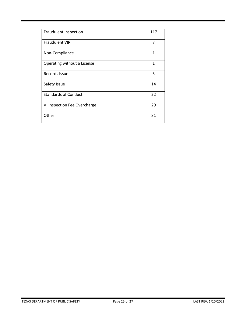| Fraudulent Inspection        | 117 |
|------------------------------|-----|
| <b>Fraudulent VIR</b>        | 7   |
| Non-Compliance               | 1   |
| Operating without a License  | 1   |
| Records Issue                | 3   |
| Safety Issue                 | 14  |
| <b>Standards of Conduct</b>  | 22  |
| VI Inspection Fee Overcharge | 29  |
| Other                        | 81  |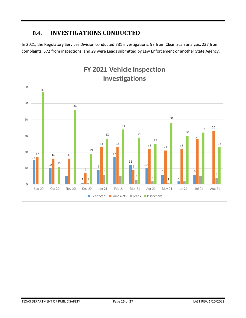### <span id="page-25-0"></span>**8.4. INVESTIGATIONS CONDUCTED**

In 2021, the Regulatory Services Division conducted 731 investigations: 93 from Clean Scan analysis, 237 from complaints, 372 from inspections, and 29 were Leads submitted by Law Enforcement or another State Agency.